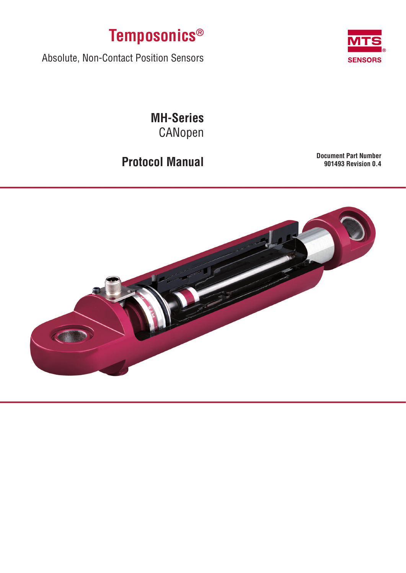



Absolute, Non-Contact Position Sensors

**MH-Series** CANopen

**Protocol Manual Document Part Number 901493 Revision 0.4**

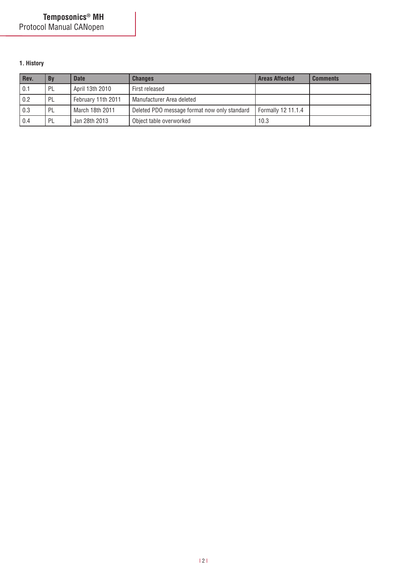# **1. History**

| Rev. | <b>By</b> | <b>Date</b>        | <b>Changes</b>                               | <b>Areas Affected</b> | <b>Comments</b> |
|------|-----------|--------------------|----------------------------------------------|-----------------------|-----------------|
| 0.1  | PL        | April 13th 2010    | First released                               |                       |                 |
| 0.2  | PL        | February 11th 2011 | Manufacturer Area deleted                    |                       |                 |
| 0.3  | PL        | March 18th 2011    | Deleted PDO message format now only standard | Formally 12 11.1.4    |                 |
| 0.4  | PL        | Jan 28th 2013      | Object table overworked                      | 10.3                  |                 |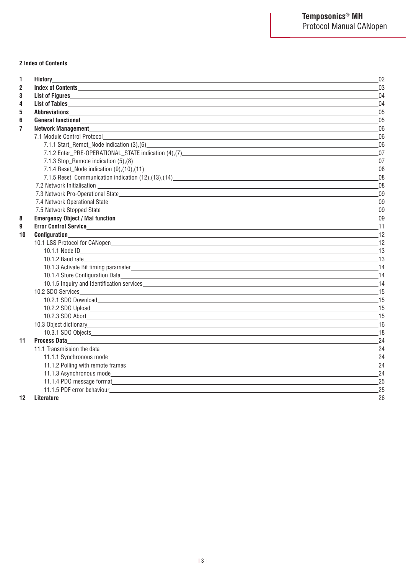### **2 Index of Contents**

| 1                       | <b>History</b>                                                                                                                                                                                                                                 | 02                          |
|-------------------------|------------------------------------------------------------------------------------------------------------------------------------------------------------------------------------------------------------------------------------------------|-----------------------------|
| $\overline{2}$          |                                                                                                                                                                                                                                                | 03                          |
| 3                       | List of Figures <b>Executive Service Service Service Service Service Service Service Service Service Service Service Service Service Service Service Service Service Service Service Service Service Service Service Service Ser</b>           | 04                          |
| 4                       |                                                                                                                                                                                                                                                | 04                          |
| 5                       |                                                                                                                                                                                                                                                | 05                          |
| 6                       | General functional experimental contract of the state of the state of the state of the state of the state of the state of the state of the state of the state of the state of the state of the state of the state of the state                 | 05                          |
| $\overline{\mathbf{r}}$ | Network Management <b>Exercise Contract Contract Contract Contract Contract Contract Contract Contract Contract Contract Contract Contract Contract Contract Contract Contract Contract Contract Contract Contract Contract Cont</b>           | 06                          |
|                         | 7.1 Module Control Protocol                                                                                                                                                                                                                    | 06                          |
|                         | 7.1.1 Start_Remot_Node indication (3),(6)                                                                                                                                                                                                      | 06                          |
|                         |                                                                                                                                                                                                                                                | 07                          |
|                         |                                                                                                                                                                                                                                                | 07                          |
|                         |                                                                                                                                                                                                                                                | 08                          |
|                         |                                                                                                                                                                                                                                                | 08                          |
|                         |                                                                                                                                                                                                                                                | 08                          |
|                         | 7.3 Network Pro-Operational State<br>State<br>2002 - Andrew Maria Barbara<br>2003 - Andrew Maria Barbara<br>2003 - Andrew Maria Barbara<br>2003 - Andrew Maria Barbara<br>2003 - Andrew Maria Barbara<br>2003 - Andrew Maria Barbara<br>2014 - | 09                          |
|                         |                                                                                                                                                                                                                                                | 09                          |
|                         |                                                                                                                                                                                                                                                | 09                          |
| 8                       |                                                                                                                                                                                                                                                | 09                          |
| 9                       |                                                                                                                                                                                                                                                | 11                          |
| 10                      |                                                                                                                                                                                                                                                | 12                          |
|                         |                                                                                                                                                                                                                                                | $\overline{\phantom{a}}$ 12 |
|                         |                                                                                                                                                                                                                                                | 13                          |
|                         | 10.1.2 Baud rate                                                                                                                                                                                                                               | 13                          |
|                         |                                                                                                                                                                                                                                                | 14                          |
|                         |                                                                                                                                                                                                                                                | 14                          |
|                         | 10.1.5 Inquiry and Identification services experience and the state of the state of the state of the state of the state of the state of the state of the state of the state of the state of the state of the state of the stat                 | 14                          |
|                         |                                                                                                                                                                                                                                                |                             |
|                         | 15 10.2.1 SDO Download 2012 12:30 November 2013 12:30 November 2013 12:30 November 2013                                                                                                                                                        |                             |
|                         |                                                                                                                                                                                                                                                |                             |
|                         |                                                                                                                                                                                                                                                | 15                          |
|                         | 10.3 Object dictionary experience and the control of the control of the control of the control of the control of the control of the control of the control of the control of the control of the control of the control of the                  | 16                          |
|                         |                                                                                                                                                                                                                                                | 18                          |
| 11                      | Process Data https://www.archive.com/communications/communications/communications/communications/communications                                                                                                                                | 24                          |
|                         | 11.1 Transmission the data experience of the state of the state of the state of the state of the state of the state of the state of the state of the state of the state of the state of the state of the state of the state of                 | 24                          |
|                         |                                                                                                                                                                                                                                                | 24                          |
|                         | 11.1.2 Polling with remote frames and the contract of the contract of the contract of the contract of the contract of the contract of the contract of the contract of the contract of the contract of the contract of the cont                 | 24                          |
|                         |                                                                                                                                                                                                                                                | 24                          |
|                         | 11.1.4 PDO message format example and the state of the state of the state of the state of the state of the state of the state of the state of the state of the state of the state of the state of the state of the state of th                 | 25                          |
|                         | 11.1.5 PDF error behaviour                                                                                                                                                                                                                     | 25                          |
| 12                      | Literature                                                                                                                                                                                                                                     | 26                          |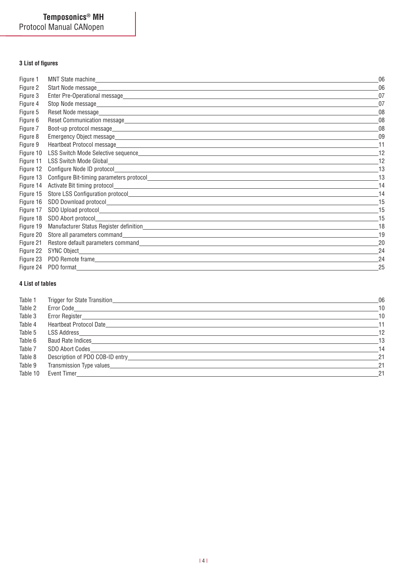# **3 List of figures**

| Figure 1  |                                                                                                                                                      | 06 |
|-----------|------------------------------------------------------------------------------------------------------------------------------------------------------|----|
| Figure 2  | Start Node message_<br><u> 1989 - Johann Barn, amerikan besteman besteman besteman besteman besteman besteman besteman besteman bestema</u>          | 06 |
| Figure 3  |                                                                                                                                                      | 07 |
| Figure 4  |                                                                                                                                                      | 07 |
| Figure 5  | Reset Node message<br><u> 1989 - Johann John Stone, mars et al. 1989 - John Stone, mars et al. 1989 - John Stone, mars et al. 1989 - J</u>           | 08 |
| Figure 6  | Reset Communication message                                                                                                                          | 08 |
| Figure 7  |                                                                                                                                                      | 08 |
| Figure 8  |                                                                                                                                                      | 09 |
| Figure 9  |                                                                                                                                                      | 11 |
| Figure 10 |                                                                                                                                                      | 12 |
| Figure 11 |                                                                                                                                                      | 12 |
| Figure 12 |                                                                                                                                                      | 13 |
| Figure 13 |                                                                                                                                                      |    |
| Figure 14 | Activate Bit timing protocol<br><u> 1980 - Antonio Alemania, prima postala de la contrada de la contrada de la contrada de la contrada de la con</u> | 14 |
| Figure 15 | Store LSS Configuration protocol<br>Store LSS Configuration protocol                                                                                 | 14 |
| Figure 16 | SDO Download protocol<br>SDO Download protocol<br>SDO Download protocol                                                                              | 15 |
| Figure 17 |                                                                                                                                                      | 15 |
| Figure 18 |                                                                                                                                                      | 15 |
| Figure 19 | Manufacturer Status Register definition<br>Manufacturer Status Register definition                                                                   | 18 |
| Figure 20 |                                                                                                                                                      | 19 |
| Figure 21 |                                                                                                                                                      | 20 |
| Figure 22 | SYNC Object                                                                                                                                          | 24 |
| Figure 23 |                                                                                                                                                      | 24 |
| Figure 24 | PDO format                                                                                                                                           | 25 |

# **4 List of tables**

| Table 1  |                                         | 06    |
|----------|-----------------------------------------|-------|
| Table 2  |                                         | 10    |
| Table 3  |                                         | 10    |
| Table 4  | Heartbeat Protocol Date                 | $-11$ |
| Table 5  |                                         | 12    |
| Table 6  | Baud Rate Indices                       | 13    |
| Table 7  | SDO Abort Codes                         | -14   |
| Table 8  |                                         | 21    |
| Table 9  | Transmission Type values_______________ | 21    |
| Table 10 | Event Timer <b>Example 19</b>           | 21    |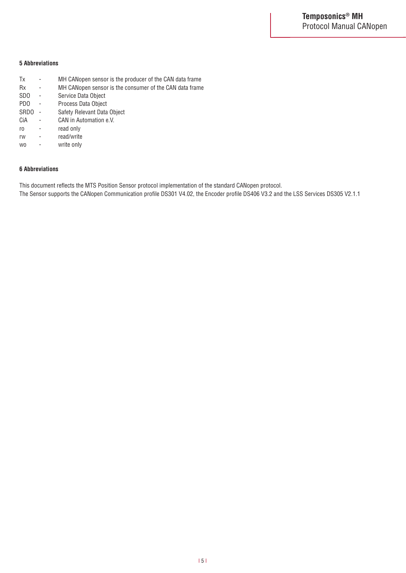### **5 Abbreviations**

| Tx               |                          | MH CANopen sensor is the producer of the CAN data frame |
|------------------|--------------------------|---------------------------------------------------------|
| <b>Rx</b>        | $\overline{a}$           | MH CANopen sensor is the consumer of the CAN data frame |
| SD <sub>0</sub>  | $\overline{a}$           | Service Data Object                                     |
| PD <sub>0</sub>  | $\overline{a}$           | Process Data Object                                     |
| SRD <sub>0</sub> | $\overline{\phantom{m}}$ | Safety Relevant Data Object                             |
| CiA              |                          | CAN in Automation e.V.                                  |
| ro               |                          | read only                                               |
| rw               | $\overline{a}$           | read/write                                              |
| W <sub>0</sub>   |                          | write only                                              |

### **6 Abbreviations**

This document reflects the MTS Position Sensor protocol implementation of the standard CANopen protocol.

The Sensor supports the CANopen Communication profile DS301 V4.02, the Encoder profile DS406 V3.2 and the LSS Services DS305 V2.1.1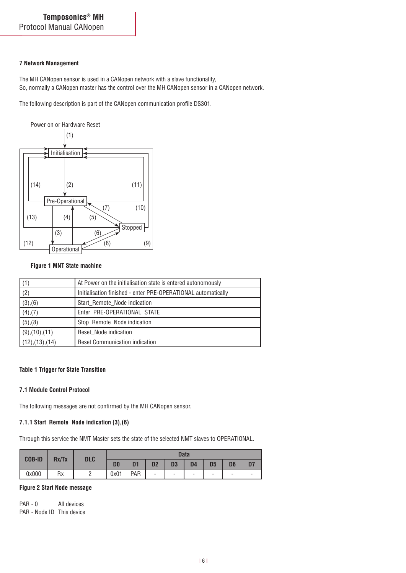### **7 Network Management**

The MH CANopen sensor is used in a CANopen network with a slave functionality, So, normally a CANopen master has the control over the MH CANopen sensor in a CANopen network.

The following description is part of the CANopen communication profile DS301.



### **Figure 1 MNT State machine**

| (1)             | At Power on the initialisation state is entered autonomously  |
|-----------------|---------------------------------------------------------------|
| (2)             | Initialisation finished - enter PRE-OPERATIONAL automatically |
| (3), (6)        | Start Remote Node indication                                  |
| $(4)$ , $(7)$   | Enter_PRE-OPERATIONAL_STATE                                   |
| (5), (8)        | Stop_Remote_Node indication                                   |
| (9), (10), (11) | Reset_Node indication                                         |
| (12),(13),(14)  | <b>Reset Communication indication</b>                         |

# **Table 1 Trigger for State Transition**

#### **7.1 Module Control Protocol**

The following messages are not confirmed by the MH CANopen sensor.

### **7.1.1 Start\_Remote\_Node indication (3),(6)**

Through this service the NMT Master sets the state of the selected NMT slaves to OPERATIONAL.

| <b>COB-ID</b> | Rx/Tx | <b>DLC</b> | <b>Data</b>    |                |    |    |                |                          |                |   |  |  |
|---------------|-------|------------|----------------|----------------|----|----|----------------|--------------------------|----------------|---|--|--|
|               |       |            | D <sub>0</sub> | D <sub>1</sub> | D2 | D3 | D <sub>4</sub> | D <sub>5</sub>           | D <sub>6</sub> |   |  |  |
| 0x000         | Rx    |            | 0x01           | PAR            | ۰  | ۰  | -              | $\overline{\phantom{a}}$ | -              | - |  |  |

### **Figure 2 Start Node message**

PAR - 0 All devices PAR - Node ID This device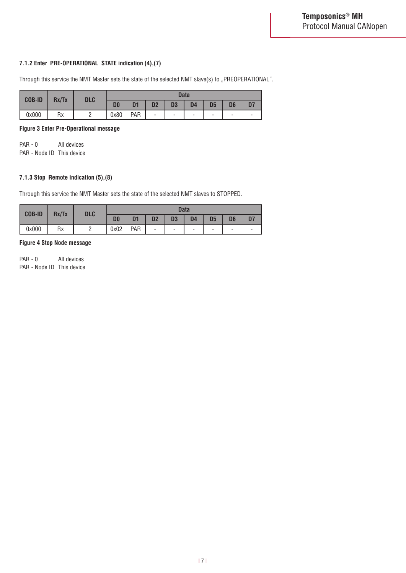### **7.1.2 Enter\_PRE-OPERATIONAL\_STATE indication (4),(7)**

Through this service the NMT Master sets the state of the selected NMT slave(s) to "PREOPERATIONAL".

| <b>COB-ID</b> | Rx/Tx     | <b>DLC</b> | <b>Data</b>    |                |                |    |           |                |                          |   |  |
|---------------|-----------|------------|----------------|----------------|----------------|----|-----------|----------------|--------------------------|---|--|
|               |           |            | D <sub>0</sub> | D <sub>1</sub> | D <sub>2</sub> | D3 | <b>D4</b> | D <sub>5</sub> | D <sub>6</sub>           |   |  |
| 0x000         | <b>Rx</b> |            | 0x80           | PAR            | -              | ۰  | ۰         | -              | $\overline{\phantom{a}}$ | - |  |

**Figure 3 Enter Pre-Operational message**

PAR - 0 All devices PAR - Node ID This device

# **7.1.3 Stop\_Remote indication (5),(8)**

Through this service the NMT Master sets the state of the selected NMT slaves to STOPPED.

| <b>COB-ID</b> | Rx/Tx | <b>DLC</b> | <b>Data</b>    |                |                |                |                          |                |                          |                          |  |
|---------------|-------|------------|----------------|----------------|----------------|----------------|--------------------------|----------------|--------------------------|--------------------------|--|
|               |       |            | D <sub>0</sub> | D <sub>1</sub> | D <sub>2</sub> | D <sub>3</sub> | D <sub>4</sub>           | D <sub>5</sub> | D6                       | D7                       |  |
| 0x000         | Rx    | <u>_</u>   | 0x02           | PAR            | -              | ۰              | $\overline{\phantom{a}}$ | ۰              | $\overline{\phantom{0}}$ | $\overline{\phantom{a}}$ |  |

### **Figure 4 Stop Node message**

PAR - 0 All devices PAR - Node ID This device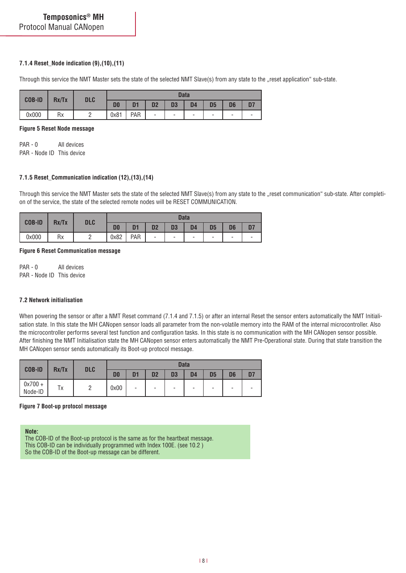### **7.1.4 Reset\_Node indication (9),(10),(11)**

Through this service the NMT Master sets the state of the selected NMT Slave(s) from any state to the "reset application" sub-state.

| <b>COB-ID</b> | Rx/Tx     | <b>DLC</b> |                | <b>Data</b>    |                |                |                          |    |                |   |  |  |
|---------------|-----------|------------|----------------|----------------|----------------|----------------|--------------------------|----|----------------|---|--|--|
|               |           |            | D <sub>0</sub> | D <sub>1</sub> | D <sub>2</sub> | D <sub>3</sub> | D4                       | D5 | D <sub>6</sub> |   |  |  |
| 0x000         | <b>Rx</b> |            | 0x81           | PAR            | -              | ۰              | $\overline{\phantom{a}}$ | -  | -              | ۰ |  |  |

#### **Figure 5 Reset Node message**

PAR - 0 All devices PAR - Node ID This device

### **7.1.5 Reset\_Communication indication (12),(13),(14)**

Through this service the NMT Master sets the state of the selected NMT Slave(s) from any state to the "reset communication" sub-state. After completion of the service, the state of the selected remote nodes will be RESET COMMUNICATION.

| <b>COB-ID</b> | Rx/Tx | <b>DLC</b> | <b>Data</b>    |                |                |                |                          |                          |    |    |  |
|---------------|-------|------------|----------------|----------------|----------------|----------------|--------------------------|--------------------------|----|----|--|
|               |       |            | D <sub>0</sub> | D <sub>1</sub> | D <sub>2</sub> | D <sub>3</sub> | D <sub>4</sub>           | D <sub>5</sub>           | D6 | D7 |  |
| 0x000         | Rx    |            | 0x82           | PAR            | -              | -              | $\overline{\phantom{a}}$ | $\overline{\phantom{a}}$ | ۰  | -  |  |

#### **Figure 6 Reset Communication message**

PAR - 0 All devices PAR - Node ID This device

### **7.2 Network initialisation**

When powering the sensor or after a NMT Reset command (7.1.4 and 7.1.5) or after an internal Reset the sensor enters automatically the NMT Initialisation state. In this state the MH CANopen sensor loads all parameter from the non-volatile memory into the RAM of the internal microcontroller. Also the microcontroller performs several test function and configuration tasks. In this state is no communication with the MH CANopen sensor possible. After finishing the NMT Initialisation state the MH CANopen sensor enters automatically the NMT Pre-Operational state. During that state transition the MH CANopen sensor sends automatically its Boot-up protocol message.

| <b>COB-ID</b>        | Rx/Tx | <b>DLC</b> |                | <b>Data</b>    |                |                          |                          |                |                |                          |  |  |
|----------------------|-------|------------|----------------|----------------|----------------|--------------------------|--------------------------|----------------|----------------|--------------------------|--|--|
|                      |       |            | D <sub>0</sub> | D <sub>1</sub> | D <sub>2</sub> | D <sub>3</sub>           | D <sub>4</sub>           | D <sub>5</sub> | D <sub>6</sub> | D7                       |  |  |
| $0x700 +$<br>Node-ID | Tх    |            | 0x00           | -              | -              | $\overline{\phantom{0}}$ | $\overline{\phantom{a}}$ | -              | -              | $\overline{\phantom{a}}$ |  |  |

#### **Figure 7 Boot-up protocol message**

#### **Note:**

The COB-ID of the Boot-up protocol is the same as for the heartbeat message. This COB-ID can be individually programmed with Index 100E. (see 10.2 ) So the COB-ID of the Boot-up message can be different.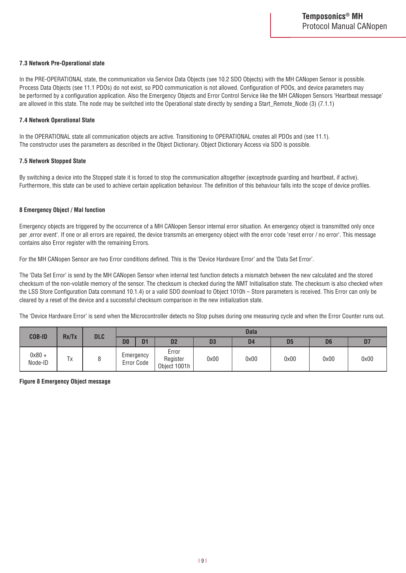### **7.3 Network Pre-Operational state**

In the PRE-OPERATIONAL state, the communication via Service Data Objects (see 10.2 SDO Objects) with the MH CANopen Sensor is possible. Process Data Objects (see 11.1 PDOs) do not exist, so PDO communication is not allowed. Configuration of PDOs, and device parameters may be performed by a configuration application. Also the Emergency Objects and Error Control Service like the MH CANopen Sensors 'Heartbeat message' are allowed in this state. The node may be switched into the Operational state directly by sending a Start\_Remote\_Node (3) (7.1.1)

#### **7.4 Network Operational State**

In the OPERATIONAL state all communication objects are active. Transitioning to OPERATIONAL creates all PDOs and (see 11.1). The constructor uses the parameters as described in the Object Dictionary. Object Dictionary Access via SDO is possible.

#### **7.5 Network Stopped State**

By switching a device into the Stopped state it is forced to stop the communication altogether (exceptnode guarding and heartbeat, if active). Furthermore, this state can be used to achieve certain application behaviour. The definition of this behaviour falls into the scope of device profiles.

#### **8 Emergency Object / Mal function**

Emergency objects are triggered by the occurrence of a MH CANopen Sensor internal error situation. An emergency object is transmitted only once per ,error event'. If one or all errors are repaired, the device transmits an emergency object with the error code 'reset error / no error'. This message contains also Error register with the remaining Errors.

For the MH CANopen Sensor are two Error conditions defined. This is the 'Device Hardware Error' and the 'Data Set Error'.

The 'Data Set Error' is send by the MH CANopen Sensor when internal test function detects a mismatch between the new calculated and the stored checksum of the non-volatile memory of the sensor. The checksum is checked during the NMT Initialisation state. The checksum is also checked when the LSS Store Configuration Data command 10.1.4) or a valid SDO download to Object 1010h – Store parameters is received. This Error can only be cleared by a reset of the device and a successful checksum comparison in the new initialization state.

The 'Device Hardware Error' is send when the Microcontroller detects no Stop pulses during one measuring cycle and when the Error Counter runs out.

| <b>COB-ID</b>       | Rx/Tx | <b>DLC</b> |                |                         |                                   |      | <b>Data</b>    |                |                |      |
|---------------------|-------|------------|----------------|-------------------------|-----------------------------------|------|----------------|----------------|----------------|------|
|                     |       |            | D <sub>0</sub> | D <sub>1</sub>          | D <sub>2</sub>                    | D3   | D <sub>4</sub> | D <sub>5</sub> | D <sub>6</sub> | D7   |
| $0x80 +$<br>Node-ID | Tx    |            |                | Emergency<br>Error Code | Error<br>Register<br>Object 1001h | 0x00 | 0x00           | 0x00           | 0x00           | 0x00 |

**Figure 8 Emergency Object message**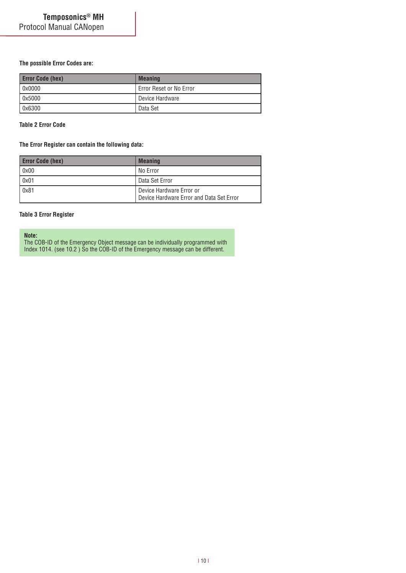### **The possible Error Codes are:**

| <b>Error Code (hex)</b> | <b>Meaning</b>          |
|-------------------------|-------------------------|
| $\log_{10}$             | Error Reset or No Error |
| $\log 5000$             | Device Hardware         |
| $\sqrt{0 \times 6300}$  | Data Set                |

### **Table 2 Error Code**

#### **The Error Register can contain the following data:**

| <b>Error Code (hex)</b> | <b>Meaning</b>                                                       |
|-------------------------|----------------------------------------------------------------------|
| 0x00                    | No Error                                                             |
| 0x01                    | Data Set Error                                                       |
| 0x81                    | Device Hardware Error or<br>Device Hardware Error and Data Set Error |

### **Table 3 Error Register**

#### **Note:**

The COB-ID of the Emergency Object message can be individually programmed with Index 1014. (see 10.2 ) So the COB-ID of the Emergency message can be different.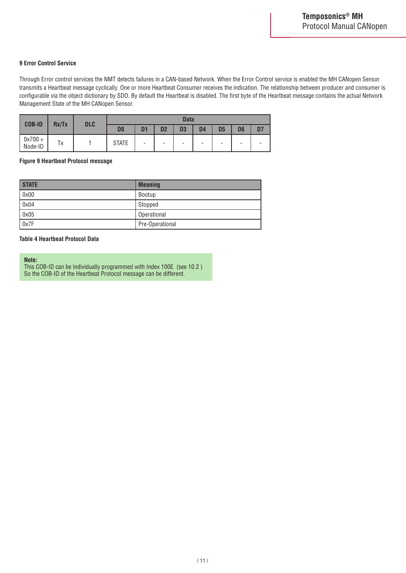### **9 Error Control Service**

Through Error control services the NMT detects failures in a CAN-based Network. When the Error Control service is enabled the MH CANopen Sensor transmits a Heartbeat message cyclically. One or more Heartbeat Consumer receives the indication. The relationship between producer and consumer is configurable via the object dictionary by SDO. By default the Heartbeat is disabled. The first byte of the Heartbeat message contains the actual Network Management State of the MH CANopen Sensor.

| <b>COB-ID</b>        |       |            |                |                |                | <b>Data</b>    |                |                |                |    |
|----------------------|-------|------------|----------------|----------------|----------------|----------------|----------------|----------------|----------------|----|
|                      | Rx/Tx | <b>DLC</b> | D <sub>0</sub> | D <sub>1</sub> | D <sub>2</sub> | D <sub>3</sub> | D <sub>4</sub> | D <sub>5</sub> | D <sub>6</sub> | D7 |
| $0x700 +$<br>Node-ID | Tх    |            | <b>STATE</b>   | -              | -              | -              | ۰              | ۰              | -              |    |

### **Figure 9 Heartbeat Protocol message**

| <b>STATE</b>         | <b>Meaning</b>  |
|----------------------|-----------------|
| $\int 0 \times 00$   | Bootup          |
| $\sqrt{0 \times 04}$ | Stopped         |
| $\sqrt{0 \times 05}$ | Operational     |
| $\sqrt{0x7F}$        | Pre-Operational |

#### **Table 4 Heartbeat Protocol Data**

#### **Note:**

This COB-ID can be individually programmed with Index 100E. (see 10.2 ) So the COB-ID of the Heartbeat Protocol message can be different.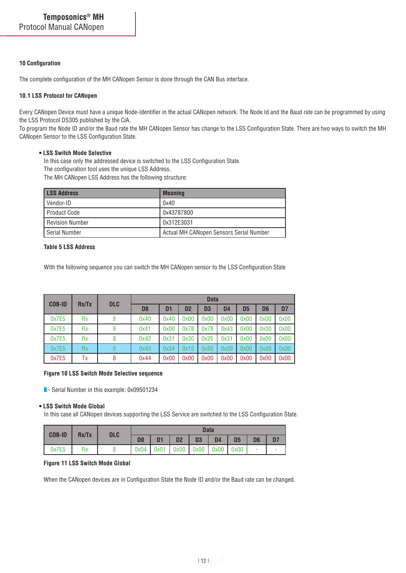#### **10 Configuration**

The complete configuration of the MH CANopen Sensor is done through the CAN Bus interface.

### **10.1 LSS Protocol for CANopen**

Every CANopen Device must have a unique Node-Identifier in the actual CANopen network. The Node Id and the Baud rate can be programmed by using the LSS Protocol DS305 published by the CiA.

To program the Node ID and/or the Baud rate the MH CANopen Sensor has change to the LSS Configuration State. There are two ways to switch the MH CANopen Sensor to the LSS Configuration State.

### **• LSS Switch Mode Selective**

In this case only the addressed device is switched to the LSS Configuration State.

The configuration tool uses the unique LSS Address.

The MH CANopen LSS Address has the following structure:

| <b>LSS Address</b>     | <b>Meaning</b>                          |
|------------------------|-----------------------------------------|
| l Vendor-ID            | 0x40                                    |
| Product Code           | 0x43787800                              |
| <b>Revision Number</b> | 0x312E3031                              |
| l Serial Number        | Actual MH CANopen Sensors Serial Number |

#### **Table 5 LSS Address**

With the following sequence you can switch the MH CANopen sensor to the LSS Configuration State

| <b>COB-ID</b> | Rx/Tx     |   | <b>Data</b><br><b>DLC</b> |      |                |                |                |      |                |                |
|---------------|-----------|---|---------------------------|------|----------------|----------------|----------------|------|----------------|----------------|
|               |           |   | D <sub>0</sub>            | D1   | D <sub>2</sub> | D <sub>3</sub> | D <sub>4</sub> | D5   | D <sub>6</sub> | D <sub>7</sub> |
| 0x7E5         | <b>Rx</b> | 8 | 0x40                      | 0x40 | 0x00           | 0x00           | 0x00           | 0x00 | 0x00           | 0x00           |
| 0x7E5         | <b>Rx</b> | 8 | 0x41                      | 0x00 | 0x78           | 0x78           | 0x43           | 0x00 | 0x00           | 0x00           |
| 0x7E5         | <b>Rx</b> | 8 | 0x42                      | 0x31 | 0x30           | 0x2E           | 0x31           | 0x00 | 0x00           | 0x00           |
| 0x7E5         | Rx        | 8 | 0x43                      | 0x34 | 0x12           | 0x50           | 0x09           | 0x00 | 0x00           | 0x00           |
| 0x7E5         | Tх        | 8 | 0x44                      | 0x00 | 0x00           | 0x00           | 0x00           | 0x00 | 0x00           | 0x00           |

#### **Figure 10 LSS Switch Mode Selective sequence**

- Serial Number in this example: 0x09501234

#### **• LSS Switch Mode Global**

In this case all CANopen devices supporting the LSS Service are switched to the LSS Configuration State.

| <b>COB-ID</b> | Rx/Tx | <b>DLC</b> |                |                |                |                                           | <b>Data</b>    |                |                |  |
|---------------|-------|------------|----------------|----------------|----------------|-------------------------------------------|----------------|----------------|----------------|--|
|               |       |            | D <sub>0</sub> | D <sub>1</sub> | D <sub>2</sub> | <b>D3</b>                                 | D <sub>4</sub> | D <sub>5</sub> | D <sub>6</sub> |  |
| 0x7E5         | Rx    |            |                |                |                | $0x04$ $0x01$ $0x00$ $0x00$ $0x00$ $0x00$ |                |                |                |  |

#### **Figure 11 LSS Switch Mode Global**

When the CANopen devices are in Configuration State the Node ID and/or the Baud rate can be changed.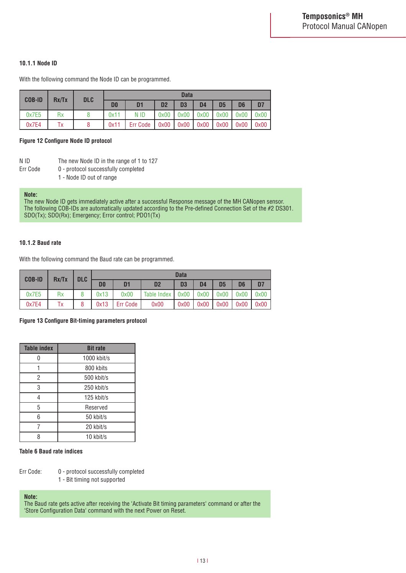### **10.1.1 Node ID**

With the following command the Node ID can be programmed.

| <b>COB-ID</b> | Rx/Tx | <b>DLC</b> |                |                 |                | <b>Data</b>    |                |      |                |                |
|---------------|-------|------------|----------------|-----------------|----------------|----------------|----------------|------|----------------|----------------|
|               |       |            | D <sub>0</sub> | D1              | D <sub>2</sub> | D <sub>3</sub> | D <sub>4</sub> | D5   | D <sub>6</sub> | D <sub>7</sub> |
| 0x7E5         | Rx    |            | 0x11           | N ID            | 0x00           | 0x00           | 0x00           | 0x00 | 0x00           | 0x00           |
| 0x7E4         | Tх    |            | 0x11           | <b>Err Code</b> | 0x00           | 0x00           | 0x00           | 0x00 | 0x00           | 0x00           |

#### **Figure 12 Configure Node ID protocol**

|--|

- The new Node ID in the range of 1 to 127
- Err Code 0 protocol successfully completed
	- 1 Node ID out of range

#### **Note:**

The new Node ID gets immediately active after a successful Response message of the MH CANopen sensor. The following COB-IDs are automatically updated according to the Pre-defined Connection Set of the #2 DS301. SDO(Tx); SDO(Rx); Emergency; Error control; PDO1(Tx)

#### **10.1.2 Baud rate**

With the following command the Baud rate can be programmed.

| <b>COB-ID</b> | Rx/Tx | <b>DLC</b> |                |                |                | <b>Data</b>    |      |                |                |                |
|---------------|-------|------------|----------------|----------------|----------------|----------------|------|----------------|----------------|----------------|
|               |       |            | D <sub>0</sub> | D <sub>1</sub> | D <sub>2</sub> | D <sub>3</sub> | D4   | D <sub>5</sub> | D <sub>6</sub> | D <sub>7</sub> |
| 0x7E5         | Rx    |            | 0x13           | 0x00           | Table Index    | 0x00           | 0x00 | 0x00           | 0x00           | 0x00           |
| 0x7E4         | Tх    |            | 0x13           | Err Code       | 0x00           | 0x00           | 0x00 | 0x00           | 0x00           | 0x00           |

#### **Figure 13 Configure Bit-timing parameters protocol**

| <b>Table index</b> | <b>Bit rate</b> |
|--------------------|-----------------|
|                    | 1000 kbit/s     |
|                    | 800 kbits       |
| 2                  | 500 kbit/s      |
| 3                  | 250 kbit/s      |
| 4                  | 125 kbit/s      |
| 5                  | Reserved        |
| 6                  | 50 kbit/s       |
|                    | 20 kbit/s       |
| Զ                  | 10 kbit/s       |

#### **Table 6 Baud rate indices**

- Err Code: 0 protocol successfully completed
	- 1 Bit timing not supported

### **Note:**

The Baud rate gets active after receiving the 'Activate Bit timing parameters' command or after the 'Store Configuration Data' command with the next Power on Reset.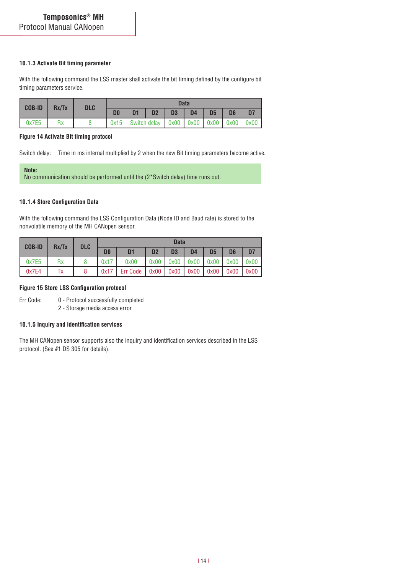#### **10.1.3 Activate Bit timing parameter**

With the following command the LSS master shall activate the bit timing defined by the configure bit timing parameters service.

| $COB-ID$ Rx/Tx | <b>DLC</b> | <b>Data</b>    |                |    |    |                                                        |                |                |                |
|----------------|------------|----------------|----------------|----|----|--------------------------------------------------------|----------------|----------------|----------------|
|                |            | D <sub>0</sub> | D <sub>1</sub> | D2 | D3 | D4                                                     | D <sub>5</sub> | D <sub>6</sub> | D <sub>7</sub> |
| 0x7E5          |            |                |                |    |    | $0x15$ Switch delay $0x00$ $0x00$ $0x00$ $0x00$ $0x00$ |                |                |                |

#### **Figure 14 Activate Bit timing protocol**

Switch delay: Time in ms internal multiplied by 2 when the new Bit timing parameters become active.

**Note:** No communication should be performed until the (2\*Switch delay) time runs out.

### **10.1.4 Store Configuration Data**

With the following command the LSS Configuration Data (Node ID and Baud rate) is stored to the nonvolatile memory of the MH CANopen sensor.

| <b>COB-ID</b> | Rx/Tx | <b>DLC</b> |                | <b>Data</b>    |                |                |                |                 |                |      |  |  |
|---------------|-------|------------|----------------|----------------|----------------|----------------|----------------|-----------------|----------------|------|--|--|
|               |       |            | D <sub>0</sub> | D <sub>1</sub> | D <sub>2</sub> | D <sub>3</sub> | D <sub>4</sub> | D <sub>5</sub>  | D <sub>6</sub> | D7   |  |  |
| 0x7E5         | Rx    |            | 0x17           | 0x00           | 0x00           | 0x00           |                | $0x00$ $0x00$   | 0x00           | 0x00 |  |  |
| 0x7E4         | Tх    |            | 0x17           | Err Code       | 0x00           | 0x00           |                | $0x00$   $0x00$ | 0x00           | 0x00 |  |  |

#### **Figure 15 Store LSS Configuration protocol**

Err Code: 0 - Protocol successfully completed

2 - Storage media access error

#### **10.1.5 Inquiry and identification services**

The MH CANopen sensor supports also the inquiry and identification services described in the LSS protocol. (See #1 DS 305 for details).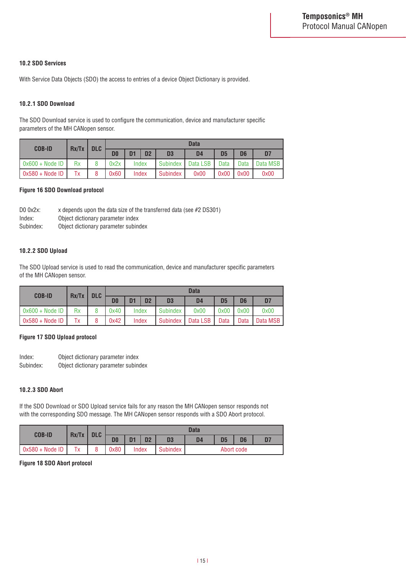### **10.2 SDO Services**

With Service Data Objects (SDO) the access to entries of a device Object Dictionary is provided.

### **10.2.1 SDO Download**

The SDO Download service is used to configure the communication, device and manufacturer specific parameters of the MH CANopen sensor.

| <b>COB-ID</b>             | Rx/Tx | <b>DLC</b> |                | <b>Data</b>    |                |                 |                |                |                |                |  |  |
|---------------------------|-------|------------|----------------|----------------|----------------|-----------------|----------------|----------------|----------------|----------------|--|--|
|                           |       |            | D <sub>0</sub> | D <sub>1</sub> | D <sub>2</sub> | D <sub>3</sub>  | D <sub>4</sub> | D <sub>5</sub> | D <sub>6</sub> | D <sub>7</sub> |  |  |
| $\sqrt{0 \times 600 + N}$ | Rx    |            | 0x2x           |                | Index          | <b>Subindex</b> | Data LSB       | Data           | Data           | Data MSB       |  |  |
| $0x580 + Node$ ID         | Тx    |            | 0x60           |                | Index          | <b>Subindex</b> | 0x00           | 0x00           | 0x00           | 0x00           |  |  |

#### **Figure 16 SDO Download protocol**

| $D0 0x2x$ : | x depends upon the data size of the transferred data (see #2 DS301) |
|-------------|---------------------------------------------------------------------|
| Index:      | Object dictionary parameter index                                   |
| Subindex:   | Object dictionary parameter subindex                                |

### **10.2.2 SDO Upload**

The SDO Upload service is used to read the communication, device and manufacturer specific parameters of the MH CANopen sensor.

| <b>COB-ID</b>            |    | Rx/Tx | <b>DLC</b> |                |       |                 |                | <b>Data</b>    |                |                 |  |
|--------------------------|----|-------|------------|----------------|-------|-----------------|----------------|----------------|----------------|-----------------|--|
|                          |    |       | D0         | D <sub>1</sub> | D2    | D <sub>3</sub>  | D <sub>4</sub> | D <sub>5</sub> | D <sub>6</sub> | D7              |  |
| $0x600 + Node 1D$        | Rx |       | 0x40       |                | Index | <b>Subindex</b> | 0x00           | 9x00           | 0x00           | 0x00            |  |
| $\sqrt{0x580 + Node}$ ID | Тx |       | 0x42       |                | Index | Subindex        | Data LSB       | Data           | Data           | <b>Data MSB</b> |  |

#### **Figure 17 SDO Upload protocol**

Index: Object dictionary parameter index Subindex: Object dictionary parameter subindex

#### **10.2.3 SDO Abort**

If the SDO Download or SDO Upload service fails for any reason the MH CANopen sensor responds not with the corresponding SDO message. The MH CANopen sensor responds with a SDO Abort protocol.

| <b>COB-ID</b>     | Rx/Tx   | <b>DLC</b> |                                                                                        | <b>Data</b> |  |                 |            |  |  |    |  |
|-------------------|---------|------------|----------------------------------------------------------------------------------------|-------------|--|-----------------|------------|--|--|----|--|
|                   |         |            | D <sub>2</sub><br>D <sub>5</sub><br>D1<br>D <sub>6</sub><br>D <sub>0</sub><br>D3<br>D4 |             |  |                 |            |  |  | D7 |  |
| $0x580 + Node$ ID | Tv<br>᠂ |            | 0x80                                                                                   | Index       |  | <b>Subindex</b> | Abort code |  |  |    |  |

# **Figure 18 SDO Abort protocol**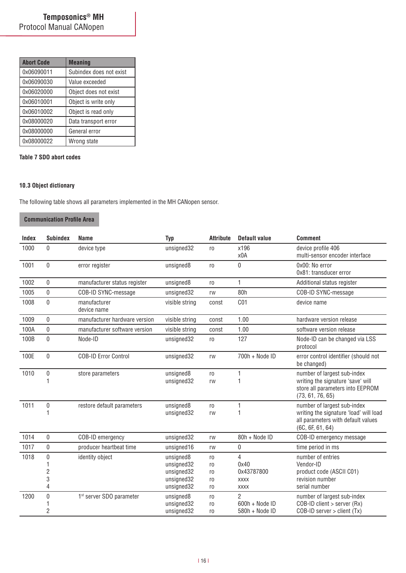| <b>Abort Code</b> | <b>Meaning</b>          |
|-------------------|-------------------------|
| 0x06090011        | Subindex does not exist |
| 0x06090030        | Value exceeded          |
| 0x06020000        | Object does not exist   |
| 0x06010001        | Object is write only    |
| 0x06010002        | Object is read only     |
| 0x08000020        | Data transport error    |
| 0x08000000        | General error           |
| 0x08000022        | Wrong state             |

### **Table 7 SDO abort codes**

# **10.3 Object dictionary**

The following table shows all parameters implemented in the MH CANopen sensor.

# **Communication Profile Area**

| Index | <b>Subindex</b>     | <b>Name</b>                          | <b>Typ</b>               | <b>Attribute</b> | <b>Default value</b> | <b>Comment</b>                                                                                   |
|-------|---------------------|--------------------------------------|--------------------------|------------------|----------------------|--------------------------------------------------------------------------------------------------|
| 1000  | $\Omega$            | device type                          | unsigned32               | ro               | x196<br>x0A          | device profile 406<br>multi-sensor encoder interface                                             |
| 1001  | $\mathbf{0}$        | error register                       | unsigned8                | ro               | 0                    | 0x00: No error<br>0x81: transducer error                                                         |
| 1002  | $\mathbf{0}$        | manufacturer status register         | unsigned8                | r <sub>0</sub>   | 1                    | Additional status register                                                                       |
| 1005  | $\Omega$            | COB-ID SYNC-message                  | unsigned32               | rw               | 80h                  | COB-ID SYNC-message                                                                              |
| 1008  | $\mathbf 0$         | manufacturer<br>device name          | visible string           | const            | C <sub>01</sub>      | device name                                                                                      |
| 1009  | $\mathbf{0}$        | manufacturer hardware version        | visible string           | const            | 1.00                 | hardware version release                                                                         |
| 100A  | $\mathbf{0}$        | manufacturer software version        | visible string           | const            | 1.00                 | software version release                                                                         |
| 100B  | $\Omega$            | Node-ID                              | unsigned32               | r <sub>0</sub>   | 127                  | Node-ID can be changed via LSS<br>protocol                                                       |
| 100E  | $\mathbf{0}$        | <b>COB-ID Error Control</b>          | unsigned32               | rw               | 700h + Node ID       | error control identifier (should not<br>be changed)                                              |
| 1010  | 0                   | store parameters                     | unsigned8                | ro               | 1                    | number of largest sub-index                                                                      |
|       | 1                   |                                      | unsigned32               | rw               | 1                    | writing the signature 'save' will<br>store all parameters into EEPROM<br>(73, 61, 76, 65)        |
| 1011  | $\boldsymbol{0}$    | restore default parameters           | unsigned8                | r <sub>0</sub>   | 1                    | number of largest sub-index                                                                      |
|       | 1                   |                                      | unsigned32               | rw               | 1                    | writing the signature 'load' will load<br>all parameters with default values<br>(6C, 6F, 61, 64) |
| 1014  | $\mathbf{0}$        | COB-ID emergency                     | unsigned32               | rw               | 80h + Node ID        | COB-ID emergency message                                                                         |
| 1017  | $\pmb{0}$           | producer heartbeat time              | unsigned16               | rw               | 0                    | time period in ms                                                                                |
| 1018  | $\bf{0}$            | identity object                      | unsigned8                | ro               | 4                    | number of entries                                                                                |
|       |                     |                                      | unsigned32               | ro               | 0x40                 | Vendor-ID                                                                                        |
|       | $\overline{c}$<br>3 |                                      | unsigned32               | ro               | 0x43787800           | product code (ASCII C01)<br>revision number                                                      |
|       | 4                   |                                      | unsigned32<br>unsigned32 | ro<br>ro         | XXXX<br><b>XXXX</b>  | serial number                                                                                    |
| 1200  | $\bf{0}$            | 1 <sup>st</sup> server SDO parameter | unsigned8                | r <sub>0</sub>   | $\overline{2}$       | number of largest sub-index                                                                      |
|       |                     |                                      | unsigned32               | r <sub>0</sub>   | 600h + Node ID       | $COB$ -ID client > server (Rx)                                                                   |
|       | 2                   |                                      | unsigned32               | r <sub>0</sub>   | 580h + Node ID       | $COB$ -ID server > client (Tx)                                                                   |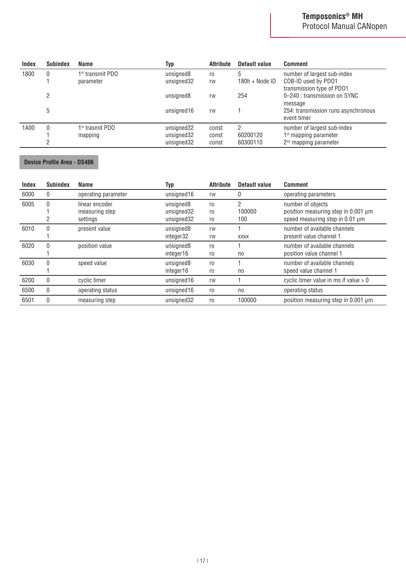| <b>Index</b> | <b>Subindex</b> | Name             | Typ        | <b>Attribute</b> | Default value    | <b>Comment</b>                                     |
|--------------|-----------------|------------------|------------|------------------|------------------|----------------------------------------------------|
| 1800         | 0               | 1st transmit PDO | unsigned8  | ro               |                  | number of largest sub-index                        |
|              |                 | parameter        | unsigned32 | rw               | $180h + Node ID$ | COB-ID used by PD01<br>transmission type of PD01   |
|              | 2               |                  | unsigned8  | rw               | 254              | 0-240 : transmission on SYNC<br>message            |
|              | 5               |                  | unsigned16 | rw               |                  | 254: transmission runs asynchronous<br>event timer |
| 1A00         |                 | 1st trasmit PDO  | unsigned32 | const            |                  | number of largest sub-index                        |
|              |                 | mapping          | unsigned32 | const            | 60200120         | $1st$ mapping parameter                            |
|              |                 |                  | unsigned32 | const            | 60300110         | 2 <sup>nd</sup> mapping parameter                  |

# **Device Profile Area - DS406**

| Index | <b>Subindex</b> | Name                                         | <b>Typ</b>                            | <b>Attribute</b>           | Default value      | <b>Comment</b>                                                                              |
|-------|-----------------|----------------------------------------------|---------------------------------------|----------------------------|--------------------|---------------------------------------------------------------------------------------------|
| 6000  | $\mathbf{0}$    | operating parameter                          | unsigned16                            | rw                         | 0                  | operating parameters                                                                        |
| 6005  | $\Omega$        | linear encoder<br>measuring step<br>settings | unsigned8<br>unsigned32<br>unsigned32 | r <sub>0</sub><br>ro<br>ro | 2<br>100000<br>100 | number of objects<br>position measuring step in 0.001 µm<br>speed measuring step in 0.01 µm |
| 6010  | $\mathbf{0}$    | present value                                | unsigned8<br>integer32                | rw<br>rw                   | <b>XXXX</b>        | number of available channels<br>present value channel 1                                     |
| 6020  | 0               | position value                               | unsigned8<br>integer16                | ro<br>ro                   | no                 | number of available channels<br>position value channel 1                                    |
| 6030  | $\mathbf{0}$    | speed value                                  | unsigned8<br>integer16                | ro<br>ro                   | n <sub>0</sub>     | number of available channels<br>speed value channel 1                                       |
| 6200  | 0               | cyclic timer                                 | unsigned16                            | rw                         |                    | cyclic timer value in ms if value $> 0$                                                     |
| 6500  | 0               | operating status                             | unsigned16                            | ro                         | n <sub>0</sub>     | operating status                                                                            |
| 6501  | $\Omega$        | measuring step                               | unsigned32                            | ro                         | 100000             | position measuring step in 0.001 µm                                                         |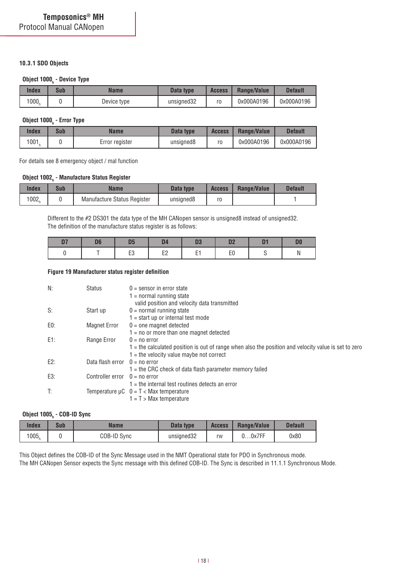### **10.3.1 SDO Objects**

# **Object 1000h - Device Type**

| Index             | Sub | Name        | Data type  | <b>Access</b> | Range/Value | Default    |
|-------------------|-----|-------------|------------|---------------|-------------|------------|
| 1000 <sub>h</sub> |     | Device type | unsigned32 | ro            | 0x000A0196  | 0x000A0196 |

# **Object 1000h - Error Type**

| Index             | Sub | Name           | Data type             | <b>Access</b> | Range/Value | <b>Default</b> |
|-------------------|-----|----------------|-----------------------|---------------|-------------|----------------|
| 1001 <sub>1</sub> |     | Error register | unsigned <sub>8</sub> | ro            | 0x000A0196  | 0x000A0196     |

For details see 8 emergency object / mal function

# **Object 1002h - Manufacture Status Register**

| Index | Sub | Name                        | Data type | <b>Access</b> | Range/Value | <b>Default</b> |
|-------|-----|-----------------------------|-----------|---------------|-------------|----------------|
| 1002  |     | Manufacture Status Register | unsigned8 | ro            |             |                |

Different to the #2 DS301 the data type of the MH CANopen sensor is unsigned8 instead of unsigned32. The definition of the manufacture status register is as follows:

#### **Figure 19 Manufacturer status register definition**

| N:  | <b>Status</b>                   | $0 =$ sensor in error state                                                                          |
|-----|---------------------------------|------------------------------------------------------------------------------------------------------|
|     |                                 | $1 = normal$ running state                                                                           |
|     |                                 | valid position and velocity data transmitted                                                         |
| S:  | Start up                        | $0 = normal$ running state                                                                           |
|     |                                 | $1 = start up or internal test mode$                                                                 |
| E0: | <b>Magnet Error</b>             | $0 =$ one magnet detected                                                                            |
|     |                                 | $1 = no$ or more than one magnet detected                                                            |
| E1: | Range Error                     | $0 = no error$                                                                                       |
|     |                                 | 1 = the calculated position is out of range when also the position and velocity value is set to zero |
|     |                                 | $1 =$ the velocity value maybe not correct                                                           |
| E2: | Data flash error $0 = no$ error |                                                                                                      |
|     |                                 | $1$ = the CRC check of data flash parameter memory failed                                            |
| E3: | Controller error $0 = no$ error |                                                                                                      |
|     |                                 | $1$ = the internal test routines detects an error                                                    |
| T:  |                                 | Temperature $\mu C$ 0 = T < Max temperature                                                          |
|     |                                 | $1 = T$ > Max temperature                                                                            |
|     |                                 |                                                                                                      |

# **Object 1005h - COB-ID Sync**

| Index             | Sub | <b>Name</b> | Data type  | <b>Access</b> | Range/Value   | <b>Default</b> |  |
|-------------------|-----|-------------|------------|---------------|---------------|----------------|--|
| 1005 <sub>h</sub> |     | COB-ID Sync | unsigned32 | rw            | $J0$ x $7$ FF | 0x80           |  |

This Object defines the COB-ID of the Sync Message used in the NMT Operational state for PDO in Synchronous mode.

The MH CANopen Sensor expects the Sync message with this defined COB-ID. The Sync is described in 11.1.1 Synchronous Mode.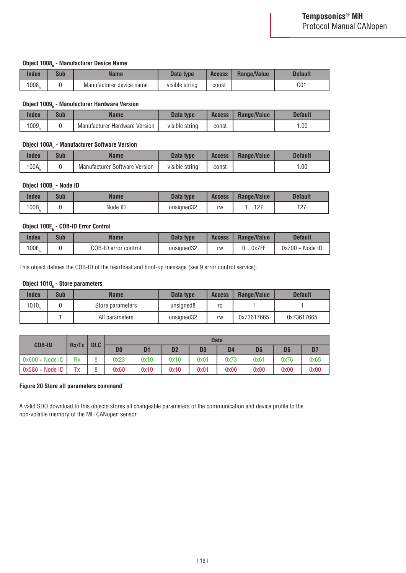# **Object 1008h - Manufacturer Device Name**

| Index | Sub | Name                     | Data type      | <b>Access</b> |  | <b>Default</b> |
|-------|-----|--------------------------|----------------|---------------|--|----------------|
| 1008, |     | Manufacturer device name | visible string | const         |  | C01            |

# **Object 1009h - Manufacturer Hardware Version**

| Index | Sub | Name                          | Data type      | <b>Access</b> | Range/Value | Default |
|-------|-----|-------------------------------|----------------|---------------|-------------|---------|
| 1009, |     | Manufacturer Hardware Version | visible string | const         |             | 0.00    |

# **Object 100Ah - Manufacturer Software Version**

| Index | Sub | Name                                 | Data type      | <b>Access</b> | Range/Value | <b>Default</b> |
|-------|-----|--------------------------------------|----------------|---------------|-------------|----------------|
| 100A  |     | <b>Manufacturer Software Version</b> | visible string | const         |             | 1.00           |

# **Object 100Bh - Node ID**

| Index | Sub | Name    | Data type  | <b>Access</b> | Range/Value    | <b>Default</b> |
|-------|-----|---------|------------|---------------|----------------|----------------|
| 100B  |     | Node ID | unsigned32 | rw            | 107<br>. 1 4 . | 407<br>ا ۱۷    |

# **Object 100Eh - COB-ID Error Control**

| Index | Sub | Name                 | Data type  | <b>Access</b> | <b>Range/Value</b> | <b>Default</b>   |
|-------|-----|----------------------|------------|---------------|--------------------|------------------|
| 100E, |     | COB-ID error control | unsigned32 | rw            | ບ0x7FF             | $0x700 + Node1D$ |

This object defines the COB-ID of the heartbeat and boot-up message (see 9 error control service).

# **Object 1010h - Store parameters**

| Index | Sub | Name             | Data type  | <b>Access</b> | Range/Value | <b>Default</b> |
|-------|-----|------------------|------------|---------------|-------------|----------------|
| 1010  |     | Store parameters | unsigned8  | ro            |             |                |
|       |     | All parameters   | unsigned32 | rw            | 0x73617665  | 0x73617665     |

| <b>COB-ID</b>     | Rx/Tx |   | <b>DLC</b>     |                |                |                | <b>Data</b> |                |      |      |  |
|-------------------|-------|---|----------------|----------------|----------------|----------------|-------------|----------------|------|------|--|
|                   |       |   | D <sub>0</sub> | D <sub>1</sub> | D <sub>2</sub> | D <sub>3</sub> | D4          | D <sub>5</sub> | D6   | D7   |  |
| $0x600 + Node 1D$ | Rx    |   | 0x23           | 0x10           | 0x10           | 0x01           | 0x73        | 0x61           | 0x76 | 0x65 |  |
| $0x580 + Node1D$  | Tх    | 8 | 0x60           | 0x10           | 0x10           | 0x01           | 0x00        | 0x00           | 0x00 | 0x00 |  |

### **Figure 20 Store all parameters command**

A valid SDO download to this objects stores all changeable parameters of the communication and device profile to the non-volatile memory of the MH CANopen sensor.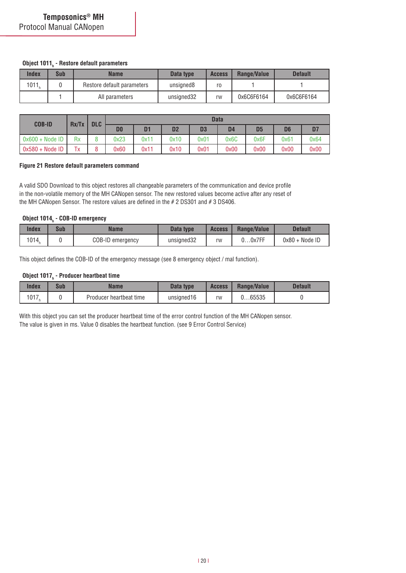# **Object 1011h - Restore default parameters**

| Index             | Sub | Name                       | Data type  | <b>Access</b> | Range/Value | <b>Default</b> |
|-------------------|-----|----------------------------|------------|---------------|-------------|----------------|
| 1011 <sub>b</sub> |     | Restore default parameters | unsigned8  | ro            |             |                |
|                   |     | All parameters             | unsigned32 | rw            | 0x6C6F6164  | 0x6C6F6164     |

| <b>COB-ID</b>     |       | <b>DLC</b> |                |      |                |      | <b>Data</b>    |                |                |      |
|-------------------|-------|------------|----------------|------|----------------|------|----------------|----------------|----------------|------|
|                   | Rx/Tx |            | D <sub>0</sub> | ה    | D <sub>2</sub> | D3   | D <sub>4</sub> | D <sub>5</sub> | D <sub>6</sub> |      |
| $0x600 + Node$ ID | Rx    |            | 0x23           | 0x11 | 0x10           | 0x01 | 0x6C           | 0x6F           | 0x61           | 0x64 |
| $0x580 + Node1D$  | Tx    | Ō          | 0x60           | 0x11 | 0x10           | 0x01 | 0x00           | 0x00           | 0x00           | 0x00 |

### **Figure 21 Restore default parameters command**

A valid SDO Download to this object restores all changeable parameters of the communication and device profile in the non-volatile memory of the MH CANopen sensor. The new restored values become active after any reset of the MH CANopen Sensor. The restore values are defined in the # 2 DS301 and # 3 DS406.

# **Object 1014h - COB-ID emergency**

| Index | Sub | Name             | Data type  | <b>Access</b> | Range/Value | <b>Default</b>   |
|-------|-----|------------------|------------|---------------|-------------|------------------|
| 1014. |     | COB-ID emergency | unsigned32 | rw            | $00$ x7FF   | $0x80 + Node$ ID |

This object defines the COB-ID of the emergency message (see 8 emergency object / mal function).

# **Object 1017<sub>h</sub> - Producer heartbeat time**

| Index | Sub | Name                    | Data type  | <b>Access</b> | Range/Value | <b>Default</b> |
|-------|-----|-------------------------|------------|---------------|-------------|----------------|
| 1017  |     | Producer heartbeat time | unsigned16 | rw            | 065535      |                |

With this object you can set the producer heartbeat time of the error control function of the MH CANopen sensor. The value is given in ms. Value 0 disables the heartbeat function. (see 9 Error Control Service)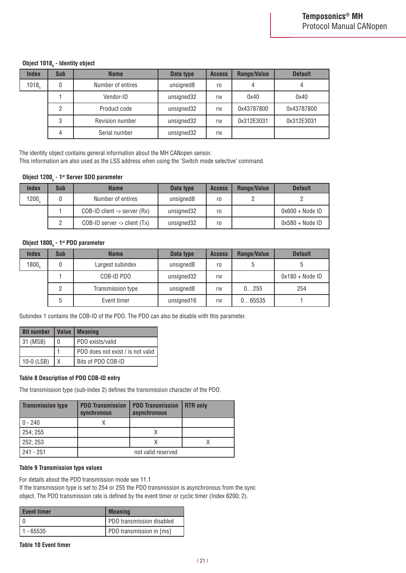# **Object 1018h - Identity object**

| <b>Index</b>      | Sub | <b>Name</b>       | Data type  | <b>Access</b>  | Range/Value | <b>Default</b> |
|-------------------|-----|-------------------|------------|----------------|-------------|----------------|
| 1018 <sub>b</sub> |     | Number of entires | unsigned8  | r <sub>0</sub> |             |                |
|                   |     | Vendor-ID         | unsigned32 | rw             | 0x40        | 0x40           |
|                   | 2   | Product code      | unsigned32 | rw             | 0x43787800  | 0x43787800     |
|                   | 3   | Revision number   | unsigned32 | rw             | 0x312E3031  | 0x312E3031     |
|                   | 4   | Serial number     | unsigned32 | rw             |             |                |

The identity object contains general information about the MH CANopen sensor.

This information are also used as the LSS address when using the 'Switch mode selective' command.

# **Object 1200h - 1st Server SDO parameter**

| <b>Index</b>      | <b>Sub</b> | <b>Name</b>                       | Data type  | <b>Access</b> | Range/Value | <b>Default</b>    |
|-------------------|------------|-----------------------------------|------------|---------------|-------------|-------------------|
| 1200 <sub>b</sub> |            | Number of entires                 | unsigned8  | ro            |             |                   |
|                   |            | $COB$ -ID client -> server $(Rx)$ | unsigned32 | ro            |             | $0x600 + Node1D$  |
|                   |            | $COB$ -ID server -> client $(Tx)$ | unsigned32 | ro            |             | $0x580 + Node$ ID |

# **Object 1800h - 1st PDO parameter**

| <b>Index</b>      | Sub | <b>Name</b>       | Data type  | <b>Access</b>  | Range/Value | <b>Default</b>   |
|-------------------|-----|-------------------|------------|----------------|-------------|------------------|
| 1800 <sub>n</sub> | 0   | Largest subindex  | unsigned8  | r <sub>0</sub> | 5           |                  |
|                   |     | COB-ID PDO        | unsigned32 | rw             |             | $0x180 + Node1D$ |
|                   | っ   | Transmission type | unsigned8  | rw             | 0255        | 254              |
|                   | 5   | Event timer       | unsigned16 | rw             | 065535      |                  |

Subindex 1 contains the COB-ID of the PDO. The PDO can also be disable with this parameter.

| <b>Bit number</b> |                              | Value   Meaning                     |  |
|-------------------|------------------------------|-------------------------------------|--|
| 31 (MSB)          | PDO exists/valid<br>$\Omega$ |                                     |  |
|                   |                              | I PDO does not exist / is not valid |  |
| $10-0$ (LSB)      | X                            | Bits of PDO COB-ID                  |  |

### **Table 8 Description of PDO COB-ID entry**

The transmission type (sub-index 2) defines the transmission character of the PDO.

| <b>Transmission type</b> | <b>PDO Transmission</b><br>synchronous | <b>PDO Transmission</b><br>asynchronous | <b>RTR only</b> |  |  |
|--------------------------|----------------------------------------|-----------------------------------------|-----------------|--|--|
| $0 - 240$                |                                        |                                         |                 |  |  |
| 254; 255                 |                                        |                                         |                 |  |  |
| 252; 253                 |                                        |                                         |                 |  |  |
| $241 - 251$              | not valid reserved                     |                                         |                 |  |  |

### **Table 9 Transmission type values**

For details about the PDO transmission mode see 11.1

If the transmission type is set to 254 or 255 the PDO transmission is asynchronous from the sync object. The PDO transmission rate is defined by the event timer or cyclic timer (Index 6200; 2).

| <b>Event timer</b> | <b>Meaning</b>            |
|--------------------|---------------------------|
|                    | PDO transmission disabled |
| - 65535            | PDO transmission in [ms]  |

**Table 10 Event timer**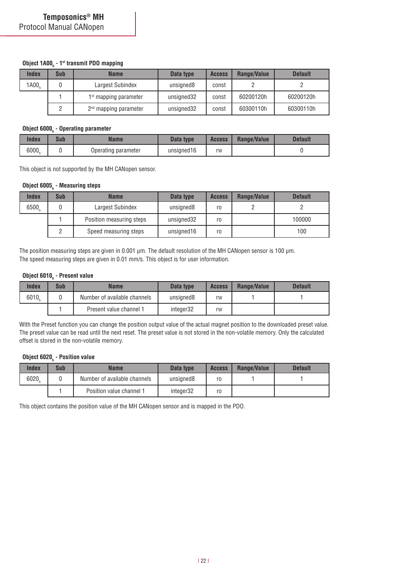# **Object 1A00h - 1st transmit PDO mapping**

| <b>Index</b>      | Sub | <b>Name</b>                       | Data type  | <b>Access</b> | Range/Value | <b>Default</b> |
|-------------------|-----|-----------------------------------|------------|---------------|-------------|----------------|
| 1A00 <sub>b</sub> |     | Largest Subindex                  | unsigned8  | const         |             |                |
|                   |     | $1st$ mapping parameter           | unsigned32 | const         | 60200120h   | 60200120h      |
|                   |     | 2 <sup>nd</sup> mapping parameter | unsigned32 | const         | 60300110h   | 60300110h      |

# **Object 6000h - Operating parameter**

| Index | Sub | <b>Name</b>         | Data type  | <b>Access</b> | Range/Value | <b>Default</b> |
|-------|-----|---------------------|------------|---------------|-------------|----------------|
| 6000  |     | Operating parameter | unsigned16 | rw            |             |                |

This object is not supported by the MH CANopen sensor.

# **Object 6005h - Measuring steps**

| <b>Index</b>      | Sub | <b>Name</b>              | Data type             | <b>Access</b> | Range/Value | <b>Default</b> |
|-------------------|-----|--------------------------|-----------------------|---------------|-------------|----------------|
| 6500 <sub>b</sub> |     | Largest Subindex         | unsigned <sub>8</sub> | ro            |             |                |
|                   |     | Position measuring steps | unsigned32            | ro            |             | 100000         |
|                   |     | Speed measuring steps    | unsigned16            | ro            |             | 100            |

The position measuring steps are given in 0.001 µm. The default resolution of the MH CANopen sensor is 100 µm. The speed measuring steps are given in 0.01 mm/s. This object is for user information.

# **Object 6010<sub>h</sub> - Present value**

| Index             | Sub | Name                         | Data type | <b>Access</b> | Range/Value | <b>Default</b> |
|-------------------|-----|------------------------------|-----------|---------------|-------------|----------------|
| 6010 <sub>b</sub> |     | Number of available channels | unsigned8 | rw            |             |                |
|                   |     | Present value channel 1      | integer32 | rw            |             |                |

With the Preset function you can change the position output value of the actual magnet position to the downloaded preset value. The preset value can be read until the next reset. The preset value is not stored in the non-volatile memory. Only the calculated offset is stored in the non-volatile memory.

# **Object 6020h - Position value**

| Index | Sub | <b>Name</b>                  | Data type | <b>Access</b> | Range/Value | <b>Default</b> |
|-------|-----|------------------------------|-----------|---------------|-------------|----------------|
| 6020  |     | Number of available channels | unsigned8 | ro            |             |                |
|       |     | Position value channel 1     | integer32 | ro            |             |                |

This object contains the position value of the MH CANopen sensor and is mapped in the PDO.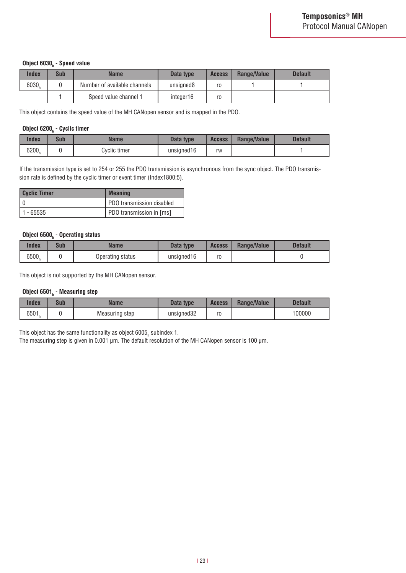# **Object 6030h - Speed value**

| <b>Index</b> | Sub | <b>Name</b>                  | Data type | <b>Access</b> | Range/Value | <b>Default</b> |
|--------------|-----|------------------------------|-----------|---------------|-------------|----------------|
| 6030         |     | Number of available channels | unsigned8 | ro            |             |                |
|              |     | Speed value channel 1        | integer16 | ro            |             |                |

This object contains the speed value of the MH CANopen sensor and is mapped in the PDO.

# **Object 6200h - Cyclic timer**

| Index | Sub | Name         | Data type  | <b>Access</b> | Range/Value | Default |
|-------|-----|--------------|------------|---------------|-------------|---------|
| 6200  |     | Cyclic timer | unsigned16 | rw            |             |         |

If the transmission type is set to 254 or 255 the PDO transmission is asynchronous from the sync object. The PDO transmission rate is defined by the cyclic timer or event timer (Index1800;5).

| Cyclic Timer | <b>Meaning</b>            |
|--------------|---------------------------|
|              | PDO transmission disabled |
| - 65535      | PDO transmission in [ms]  |

# **Object 6500h - Operating status**

| Index | Sub | Name             | Data type<br><b>Access</b> |                | Range/Value | <b>Default</b> |
|-------|-----|------------------|----------------------------|----------------|-------------|----------------|
| 6500  |     | Operating status | unsigned16                 | ro<br><b>U</b> |             |                |

This object is not supported by the MH CANopen sensor.

# **Object 6501h - Measuring step**

| Index | Sub | <b>Name</b>    | Data type  | <b>Access</b> | Range/Value | <b>Default</b> |
|-------|-----|----------------|------------|---------------|-------------|----------------|
| 6501  |     | Measuring step | unsigned32 | ro            |             | 100000         |

This object has the same functionality as object 6005 $_{\textrm{\tiny{h}}}$  subindex 1.

The measuring step is given in 0.001 µm. The default resolution of the MH CANopen sensor is 100 µm.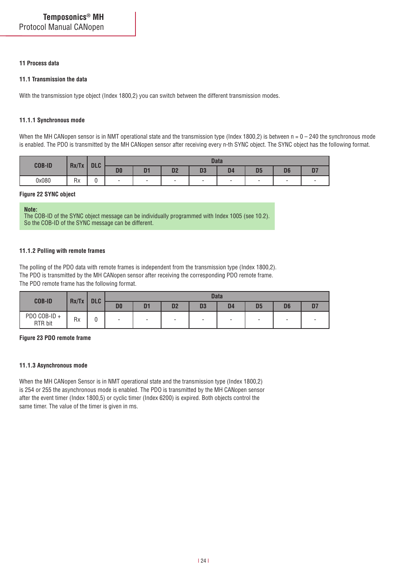### **11 Process data**

### **11.1 Transmission the data**

With the transmission type object (Index 1800,2) you can switch between the different transmission modes.

#### **11.1.1 Synchronous mode**

When the MH CANopen sensor is in NMT operational state and the transmission type (Index 1800,2) is between  $n = 0 - 240$  the synchronous mode is enabled. The PDO is transmitted by the MH CANopen sensor after receiving every n-th SYNC object. The SYNC object has the following format.

| <b>COB-ID</b> | Rx/Tx | <b>DLC</b> |                |                          |                          | <b>Data</b> |                |                          |                          |  |
|---------------|-------|------------|----------------|--------------------------|--------------------------|-------------|----------------|--------------------------|--------------------------|--|
|               |       |            | D <sub>0</sub> | D <sub>1</sub>           | D <sub>2</sub>           | D3          | D <sub>4</sub> | D <sub>5</sub>           | D <sub>6</sub>           |  |
| 0x080         | Rx    | v          | ۰              | $\overline{\phantom{a}}$ | $\overline{\phantom{a}}$ | -           | -              | $\overline{\phantom{0}}$ | $\overline{\phantom{0}}$ |  |

#### **Figure 22 SYNC object**

**Note:** The COB-ID of the SYNC object message can be individually programmed with Index 1005 (see 10.2). So the COB-ID of the SYNC message can be different.

#### **11.1.2 Polling with remote frames**

The polling of the PDO data with remote frames is independent from the transmission type (Index 1800,2). The PDO is transmitted by the MH CANopen sensor after receiving the corresponding PDO remote frame. The PDO remote frame has the following format.

| <b>COB-ID</b>          | Rx/Tx | <b>DLC</b> | <b>Data</b>    |                          |                          |                          |                |                          |                |    |
|------------------------|-------|------------|----------------|--------------------------|--------------------------|--------------------------|----------------|--------------------------|----------------|----|
|                        |       |            | D <sub>0</sub> | D <sub>1</sub>           | D <sub>2</sub>           | D <sub>3</sub>           | D <sub>4</sub> | D <sub>5</sub>           | D <sub>6</sub> | D7 |
| PDO COB-ID+<br>RTR bit | Rx    | υ          | ۰              | $\overline{\phantom{0}}$ | $\overline{\phantom{a}}$ | $\overline{\phantom{a}}$ |                | $\overline{\phantom{0}}$ | ۰              |    |

#### **Figure 23 PDO remote frame**

#### **11.1.3 Asynchronous mode**

When the MH CANopen Sensor is in NMT operational state and the transmission type (Index 1800,2) is 254 or 255 the asynchronous mode is enabled. The PDO is transmitted by the MH CANopen sensor after the event timer (Index 1800,5) or cyclic timer (Index 6200) is expired. Both objects control the same timer. The value of the timer is given in ms.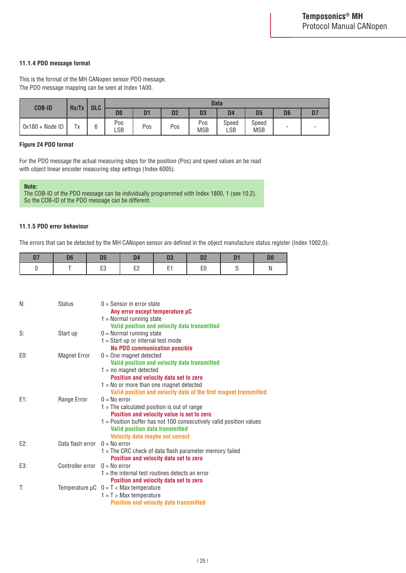#### **11.1.4 PDO message format**

This is the format of the MH CANopen sensor PDO message. The PDO message mapping can be seen at Index 1A00.

| <b>COB-ID</b>   | Rx/Tx | <b>DLC</b> | <b>Data</b>           |     |                |                   |                |                     |                |   |  |
|-----------------|-------|------------|-----------------------|-----|----------------|-------------------|----------------|---------------------|----------------|---|--|
|                 |       |            | D <sub>0</sub>        | n-  | D <sub>2</sub> | D <sub>3</sub>    | D <sub>4</sub> | D <sub>5</sub>      | D <sub>6</sub> |   |  |
| 0x180 + Node ID | Tx    | 6          | Pos<br>$\mathsf{LSB}$ | Pos | Pos            | Pos<br><b>MSB</b> | Speed<br>LSB   | Speed<br><b>MSB</b> | -              | - |  |

#### **Figure 24 PDO format**

For the PDO message the actual measuring steps for the position (Pos) and speed values an be read with object linear encoder measuring step settings (Index 6005).

**Note:** The COB-ID of the PDO message can be individually programmed with Index 1800, 1 (see 10.2). So the COB-ID of the PDO message can be different.

#### **11.1.5 PDO error behaviour**

The errors that can be detected by the MH CANopen sensor are defined in the object manufacture status register (Index 1002,0).

| D. | 05 | D <sub>4</sub>             | D3  |    | D <sub>0</sub> |
|----|----|----------------------------|-----|----|----------------|
|    | ∟ບ | F <sub>2</sub><br>--<br>-- | e a | ΕU |                |

| N:  | <b>Status</b>                   | $0 =$ Sensor in error state<br>Any error except temperature µC<br>$1 =$ Normal running state<br>Valid position and velocity data transmitted                                                                                                                             |
|-----|---------------------------------|--------------------------------------------------------------------------------------------------------------------------------------------------------------------------------------------------------------------------------------------------------------------------|
| S:  | Start up                        | $0 =$ Normal running state<br>$1 =$ Start up or internal test mode<br><b>No PDO communication possible</b>                                                                                                                                                               |
| E0: | <b>Magnet Error</b>             | $0 =$ One magnet detected<br>Valid position and velocity data transmitted<br>$1 = no$ magnet detected<br>Position and velocity data set to zero<br>$1 = No$ or more than one magnet detected<br>Valid position and velocity data of the first magnet transmitted         |
| E1: | Range Error                     | $0 = No error$<br>$1$ = The calculated position is out of range<br>Position and velocity value is set to zero<br>1 = Position buffer has not 100 consecutively valid position values<br><b>Valid position data transmitted</b><br><b>Velocity data maybe not correct</b> |
| E2: | Data flash error $0 = No$ error | 1 = The CRC check of data flash parameter memory failed<br>Position and velocity data set to zero                                                                                                                                                                        |
| E3: | Controller error $0 = No$ error | $1$ = the internal test routines detects an error<br>Position and velocity data set to zero                                                                                                                                                                              |
| T:  |                                 | Temperature $\mu C$ 0 = T < Max temperature<br>$1 = T$ > Max temperature<br><b>Position and velocity data transmitted</b>                                                                                                                                                |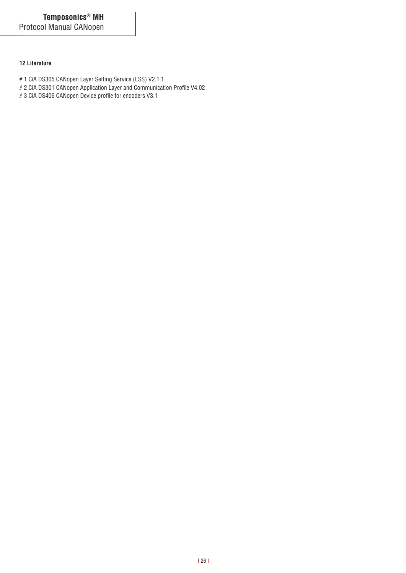### **12 Literature**

- # 1 CiA DS305 CANopen Layer Setting Service (LSS) V2.1.1
- # 2 CiA DS301 CANopen Application Layer and Communication Profile V4.02
- # 3 CiA DS406 CANopen Device profile for encoders V3.1